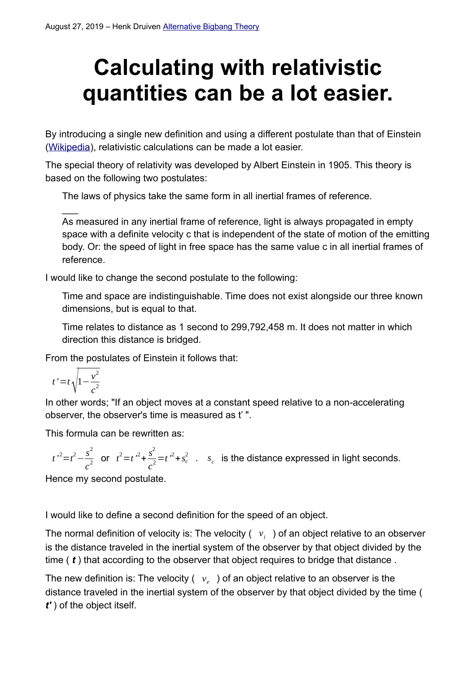# **Calculating with relativistic quantities can be a lot easier.**

By introducing a single new definition and using a different postulate than that of Einstein ([Wikipedia\)](https://en.wikipedia.org/wiki/Postulates_of_special_relativity), relativistic calculations can be made a lot easier.

The special theory of relativity was developed by Albert Einstein in 1905. This theory is based on the following two postulates:

The laws of physics take the same form in all inertial frames of reference.

As measured in any inertial frame of reference, light is always propagated in empty space with a definite velocity c that is independent of the state of motion of the emitting body. Or: the speed of light in free space has the same value c in all inertial frames of reference.

I would like to change the second postulate to the following:

Time and space are indistinguishable. Time does not exist alongside our three known dimensions, but is equal to that.

Time relates to distance as 1 second to 299,792,458 m. It does not matter in which direction this distance is bridged.

From the postulates of Einstein it follows that:

$$
t' = t \sqrt{1 - \frac{v^2}{c^2}}
$$

 $\overline{\phantom{a}}$ 

In other words; "If an object moves at a constant speed relative to a non-accelerating observer, the observer's time is measured as t' ".

This formula can be rewritten as:

 $t'^2 = t^2 - \frac{s^2}{2}$  $\frac{s^2}{c^2}$  or  $t^2 = t^2 + \frac{s^2}{c^2}$  $\frac{s}{c^2}$ =*t* <sup>*2*</sup>+*s*<sup>2</sup> . *s*<sub>*c*</sub> is the distance expressed in light seconds.

Hence my second postulate.

I would like to define a second definition for the speed of an object.

The normal definition of velocity is: The velocity ( $\mid v_i \mid$  ) of an object relative to an observer is the distance traveled in the inertial system of the observer by that object divided by the time ( *t* ) that according to the observer that object requires to bridge that distance .

The new definition is: The velocity ( *v<sup>e</sup>* ) of an object relative to an observer is the distance traveled in the inertial system of the observer by that object divided by the time ( *t'* ) of the object itself.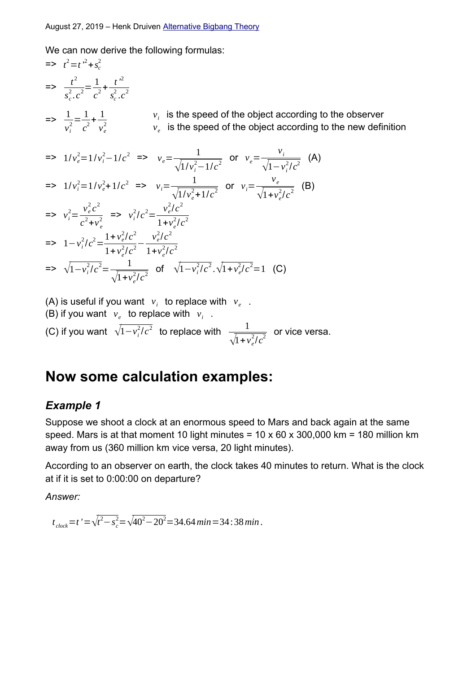We can now derive the following formulas:

$$
= 2 \t i^{2} = t^{2} + s_{c}^{2}
$$
\n
$$
= 2 \t \frac{t^{2}}{s_{c}^{2} \cdot c^{2}} = \frac{1}{c^{2}} + \frac{t^{2}}{s_{c}^{2} \cdot c^{2}}
$$
\n
$$
= 2 \t \frac{1}{v_{i}^{2}} = \frac{1}{c^{2}} + \frac{1}{v_{e}^{2}}
$$
\n
$$
= 2 \t \frac{1}{v_{i}^{2}} = \frac{1}{c^{2}} + \frac{1}{v_{e}^{2}}
$$
\n
$$
= 2 \t \frac{1}{v_{e}^{2}} = \frac{1}{c^{2}} + \frac{1}{v_{e}^{2}}
$$
\n
$$
= 2 \t \frac{1}{v_{e}^{2}} = \frac{1}{v_{i}^{2}} - \frac{1}{v_{e}^{2}} - \frac{1}{\sqrt{1}} = \frac{1}{v_{i}^{2}} - \frac{1}{\sqrt{1}} = \frac{1}{v_{i}^{2}} - \frac{1}{\sqrt{1 - v_{i}^{2}/c^{2}}}
$$
\n
$$
= 2 \t \frac{1}{v_{i}^{2}} = \frac{1}{v_{e}^{2}} - \frac{1}{v_{e}^{2}} + \frac{1}{v_{e}^{2}} = 2 \t \frac{1}{v_{i}^{2}} = \frac{1}{v_{i}^{2}} - \frac{1}{v_{e}^{2}/c^{2}}
$$
\n
$$
= 2 \t \frac{1}{v_{i}^{2}} = \frac{1}{v_{e}^{2}} - \frac{1}{v_{e}^{2}} = \frac{1}{v_{e}^{2}} - \frac{1}{v_{e}^{2}} - \frac{1}{v_{e}^{2}} - \frac{1}{v_{e}^{2}} - \frac{1}{v_{e}^{2}} - \frac{1}{v_{e}^{2}} - \frac{1}{v_{e}^{2}} - \frac{1}{v_{e}^{2}} - \frac{1}{v_{e}^{2}} - \frac{1}{v_{e}^{2}} - \frac{1}{v_{e}^{2}} - \frac{1}{v_{e}^{2}} - \frac{1}{v_{e}^{2}} - \frac{1}{v_{e}^{2}} - \frac{1}{v_{e}^{2}} - \frac{1}{v_{e}^{2}} - \frac{1}{v_{e}^{2}} - \frac{1}{v_{e}^{2}} - \
$$

(A) is useful if you want  $v_i$  to replace with  $v_e$ .

(B) if you want  $v_e$  to replace with  $v_i$ . (C) if you want  $\sqrt{1-v_i^2/c^2}$  to replace with  $\frac{1}{\sqrt{1-v_i^2/c^2}}$  $\frac{1}{\sqrt{1+v_e^2/c^2}}$  or vice versa.

## **Now some calculation examples:**

#### *Example 1*

Suppose we shoot a clock at an enormous speed to Mars and back again at the same speed. Mars is at that moment 10 light minutes =  $10 \times 60 \times 300,000$  km = 180 million km away from us (360 million km vice versa, 20 light minutes).

According to an observer on earth, the clock takes 40 minutes to return. What is the clock at if it is set to 0:00:00 on departure?

*Answer:*

 $t_{clock}$ =t'=√ $t^2 - s_c^2 = \sqrt{40^2 - 20^2}$ =34.64*min*=34:38*min* .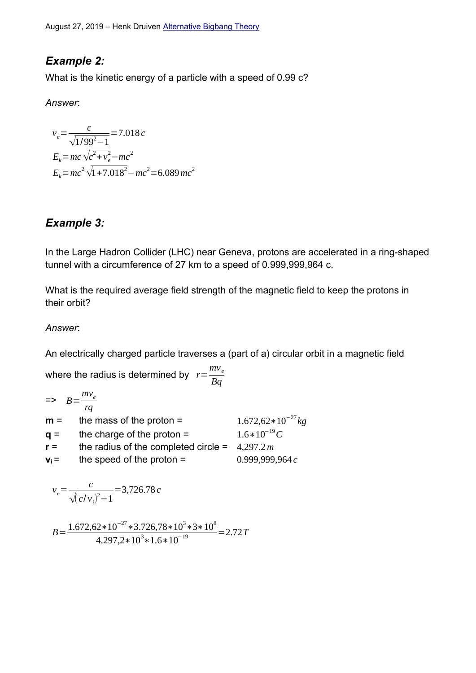August 27, 2019 – Henk Druiven [Alternative](https://alternative/) [Bigbang](https://alternativebigbang/) [Theory](https://alternativebigbangtheory.org/)

## *Example 2:*

What is the kinetic energy of a particle with a speed of 0.99 c?

*Answer*:

$$
v_e = \frac{c}{\sqrt{1/99^2 - 1}} = 7.018 c
$$
  
\n
$$
E_k = mc \sqrt{c^2 + v_e^2} - mc^2
$$
  
\n
$$
E_k = mc^2 \sqrt{1 + 7.018^2} - mc^2 = 6.089 mc^2
$$

## *Example 3:*

In the Large Hadron Collider (LHC) near Geneva, protons are accelerated in a ring-shaped tunnel with a circumference of 27 km to a speed of 0.999,999,964 c.

What is the required average field strength of the magnetic field to keep the protons in their orbit?

*Answer*:

An electrically charged particle traverses a (part of a) circular orbit in a magnetic field

where the radius is determined by  $r = \frac{mv_e}{R}$ *Bq*  $\Rightarrow$   $B = \frac{mv_e}{m}$ *rq*

| $m =$   | the mass of the proton $=$                       | $1.672,62*10^{-27}$ kg |
|---------|--------------------------------------------------|------------------------|
| $q =$   | the charge of the proton $=$                     | $1.6*10^{-19}C$        |
| $r =$   | the radius of the completed circle = $4,297.2 m$ |                        |
| $V_i =$ | the speed of the proton $=$                      | 0.999,999,964 $c$      |

$$
v_e = \frac{c}{\sqrt{(c/v_i)^2 - 1}} = 3{,}726.78 c
$$

 $B = \frac{1.672,62*10^{-27} * 3.726,78*10^{3}*3*10^{8}}{1.88523 \cdot 10^{3} * 10^{2}}$  $\frac{2 \times 10^{-4} \times 0.720,70 \times 10^{-4} \times 10^{19}}{4.297,2 \times 10^{3} \times 1.6 \times 10^{-19}} = 2.72T$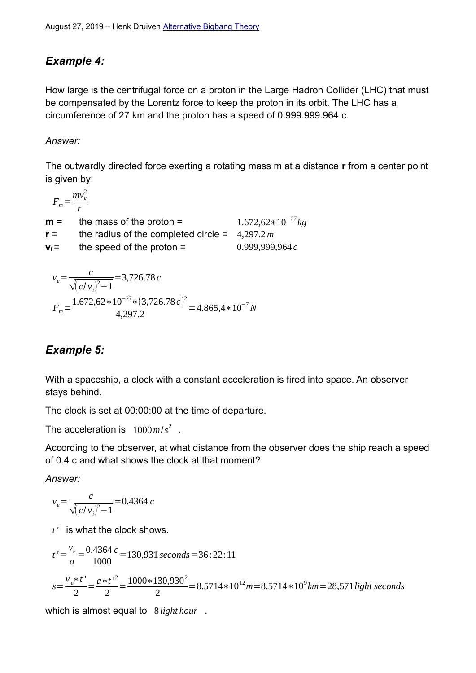## *Example 4:*

How large is the centrifugal force on a proton in the Large Hadron Collider (LHC) that must be compensated by the Lorentz force to keep the proton in its orbit. The LHC has a circumference of 27 km and the proton has a speed of 0.999.999.964 c.

#### *Answer:*

The outwardly directed force exerting a rotating mass m at a distance **r** from a center point is given by:

$$
F_m = \frac{mv_e^2}{r}
$$

| $1.672,62*10^{-27}$ kg |
|------------------------|
|                        |
| 0.999,999,964 $c$      |
|                        |

$$
v_e = \frac{c}{\sqrt{(c/v_i)^2 - 1}} = 3,726.78 c
$$
  

$$
F_m = \frac{1.672,62 * 10^{-27} * (3,726.78 c)^2}{4,297.2} = 4.865,4 * 10^{-7} N
$$

## *Example 5:*

With a spaceship, a clock with a constant acceleration is fired into space. An observer stays behind.

The clock is set at 00:00:00 at the time of departure.

The acceleration is  $1000 \, \text{m/s}^2$ .

According to the observer, at what distance from the observer does the ship reach a speed of 0.4 c and what shows the clock at that moment?

*Answer:*

$$
v_e = \frac{c}{\sqrt{(c/v_i)^2 - 1}} = 0.4364 \, c
$$

*t '* is what the clock shows.

$$
t' = \frac{v_e}{a} = \frac{0.4364 \, c}{1000} = 130,931 \, seconds = 36:22:11
$$
\n
$$
s = \frac{v_e * t'}{2} = \frac{a * t'}{2} = \frac{1000 * 130,930^2}{2} = 8.5714 * 10^{12} m = 8.5714 * 10^9 km = 28,571 light seconds
$$

which is almost equal to 8*light hour* .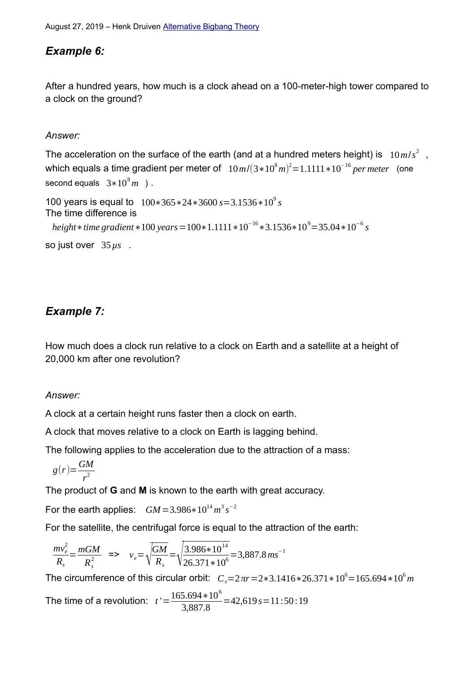## *Example 6:*

After a hundred years, how much is a clock ahead on a 100-meter-high tower compared to a clock on the ground?

*Answer:*

The acceleration on the surface of the earth (and at a hundred meters height) is  $\left| \,10\,m/s^2 \right|$  , which equals a time gradient per meter of 10*m*/(3∗10<sup>8</sup> *m*) <sup>2</sup>=1.1111∗10<sup>−</sup><sup>16</sup> *per meter* (one second equals  $3*10^8m$  ).

```
100 years is equal to 100∗365∗24∗3600 s=3.1536∗109
s
The time difference is
  height∗time gradient *100 years =100*1.1111 *10<sup>−16</sup> *3.1536*10<sup>9</sup>=35.04*10<sup>−6</sup> s
so just over 35µs .
```
## *Example 7:*

How much does a clock run relative to a clock on Earth and a satellite at a height of 20,000 km after one revolution?

#### *Answer:*

A clock at a certain height runs faster then a clock on earth.

A clock that moves relative to a clock on Earth is lagging behind.

The following applies to the acceleration due to the attraction of a mass:

$$
g(r) = \frac{GM}{r^2}
$$

The product of **G** and **M** is known to the earth with great accuracy.

For the earth applies:  $GM = 3.986 * 10^{14} m^3 s^{-2}$ 

For the satellite, the centrifugal force is equal to the attraction of the earth:

$$
\frac{mv_e^2}{R_s} = \frac{mGM}{R_s^2} \quad \Rightarrow \quad v_e = \sqrt{\frac{GM}{R_s}} = \sqrt{\frac{3.986 \times 10^{14}}{26.371 \times 10^6}} = 3.887.8 \,\text{ms}^{-1}
$$

The circumference of this circular orbit:  $\; C_s{=}2\pi r{=}2{*}3.1416{*}26.371{*}10^6{=}165.694{*}10^6m$ 

The time of a revolution:  $t' = \frac{165.694 * 10^6}{3.997.8}$  $\frac{3,8934 \times 10}{3,887.8}$  = 42,619 s = 11:50:19